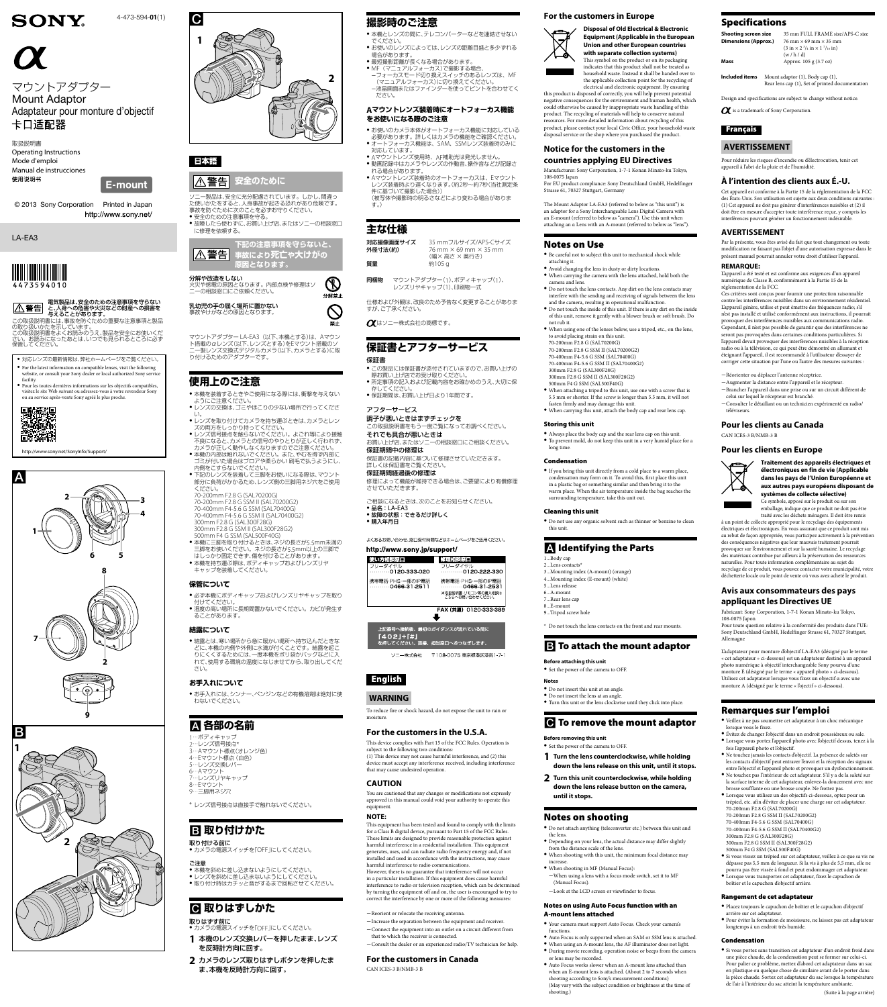ソニー製品は、安全に充分配慮されています。しかし、間違っ た使いかたをすると、人身事故が起きる恐れがあり危険です。 事故を防ぐために次のことを必ずお守りください。 ● 安全のための注意事項を守る。

● 故障したら使わずに、お買い上げ店、またはソニーの相談窓口 に、ここです。

**下記の注意事項を守らないと、** ▲ 警告 事故により死亡や大けがの **原因となります。**

分解や改造をしない 火災や感電の原因となります。内部点検や修理はソ ニーの相談窓口にご依頼ください。

乳幼児の手の届く場所に置かない 事故やけがなどの原因となります。

マウントアダプター LA-EA3(以下、本機とする)は、Aマウン ト搭載のαレンズ(以下、レンズとする)をEマウント搭載のソ ニー製レンズ交換式デジタルカメラ(以下、カメラとする)に取 り付けるためのアダプターです。

# **使用上のご注意**

- ●本機を装着するときやご使用になる際には、衝撃を与えない ようにご注意ください。
- ●レンズの交換は、ゴミやほこりの少ない場所で行ってくださ
- い。 ˎ レンズを取り付けてカメラを持ち運ぶときは、カメラとレン ズの両方をしっかり持ってください。 ˎ レンズ信号接点を触らないでください。よごれ等により接触
- 不良になると、カメラとの信号のやりとりが正しく行われず、 カメラが正しく動作しなくなりますのでご注意ください。 ˎ 本機の内部は触れないでください。また、やむを得ず内部に
- ゴミが付いた場合はブロアや柔らかい 刷毛で払うようにし、
- 内側をこすらないでください。<br>● 下記のレンズを装着して三脚をお使いになる際は、マウント 部分に負荷がかかるため、レンズ側の三脚用ネジ穴をご使用 ください。
- 70-200mm F2.8 G (SAL70200G) 70-200mm F2.8 G SSM II (SAL70200G2) 70-400mm F4-5.6 G SSM (SAL70400G) 70-400mm F4-5.6 G SSM II (SAL70400G2)
- 300mm F2.8 G (SAL300F28G) 300mm F2.8 G SSM II (SAL300F28G2)
- 500mm F4 G SSM (SAL500F40G) ˎ 本機に三脚を取り付けるときは、ネジの長さが5.5mm未満の
- 三脚をお使いください。ネジの長さが5.5mm以上の三脚で はしっかり固定できず、傷を付けることがあります。 ●本機を持ち運ぶ際は、ボディキャップおよびレンズリヤ
- キャップを装着してください。

- ●必ず本機にボディキャップおよびレンズリヤキャップを取り 付けてください。
- 漫度の高い場所に長期間置かないでください。カビが発生す ることがあります。

● 結露とは、寒い場所から急に暖かい場所へ持ち込んだときな どに、本機の内側や外側に水滴が付くことです。結露を起こ りにくくするためには、一度本機をポリ袋かバッグなどに入 れて、使用する環境の温度になじませてから、取り出してくだ さい。

● お手入れには、シンナー、ベンジンなどの有機溶剤は絶対に使 わないでください。

取り付ける前に ● カメラの電源スイッチを「OFF」にしてください。

取りはずす前に ●カメラの電源スイッチを「OFF」にしてください。

- ●本機とレンズの間に、テレコンバーターなどを連結させない でください。 ˎ お使いのレンズによっては、レンズの距離目盛と多少ずれる 場合があります。
- 湯短撮影距離が長くなる場合があります。 ● MF (マニュアルフォーカス)で撮影する場合
- -フォーカスモード切り換えスイッチのあるレンズは、MF (マニュアルフォーカス)に切り換えてください。 -液晶画面またはファインダーを使ってピントを合わせてく ださい。

### **保管について**

- お使いのカメラ本体がオートフォーカス機能に対応している ■必要があります。詳しくはカメラの機能をご確認ください。<br>● オートフォーカス機能は、SAM、SSMレンズ装着時のみに
- 対応しています。 ˎ Aマウントレンズ使用時、AF補助光は発光しません。 ● 動画記録中はカメラやレンズの作動音、操作音などが記録さ
- れる場合があります。 ● Aマウントレンズ装着時のオートフォーカスは、Eマウント レンズ装着時より遅くなります。(約2秒~約7秒(当社測定条 件に基づいて撮影した場合))
- (被写体や撮影時の明るさなどにより変わる場合がありま す。)

#### **結露について**

- **対応撮像画面サイズ** 35 mmフルサイズ/APS-Cサイズ<br>**外径寸法(約)** 76 mm × 69 mm × 35 mm  $76$  mm  $\times$  69 mm  $\times$  35 mm . 。......<br>(幅× 高さ × 奥行き) 質量 約105 g
- 同梱物 マウントアダプター(1)、ボディキャップ(1)、 レンズリヤキャップ(1)、印刷物一式

### **お手入れについて**

# **各部の名前**

1…ボディキャップ 2…レンズ信号接点\* 3…Aマウント標点(オレンジ色) 4…Eマウント標点(白色)

- ご相談になるときは、次のことをお知らせください。<br>● **品名:LA-EA3**
- 故障の状態 : できるだけ詳しく
- ˎ 購入年月日

# よくあるお問い合わせ、窓口受付時間などはホームページをご活用ください。

### http://www.sony.jp/support/



 $1 + 1204$ を押してください。直接、担当窓口へおつなぎします。

ソニー株式会社 〒108-0075 東京都港区港南1-7-1

# English

5…レンズ交換レバー 6…Aマウント 7…レンズリヤキャップ 8…Eマウント 9…三脚用ネジ穴

\* レンズ信号接点は直接手で触れないでください。

# **取り付けかた**

#### ご注意

● 本機を斜めに差し込まないようにしてください。 ● レンズを斜めに差し込まないようにしてください。 ● 取り付け時はカチッと音がするまで回転させてください。

# **■ 取りはずしかた**

device must accept any interference received, including interfer that may cause undesired operation.

**1** 本機のレンズ交換レバーを押したまま、レンズ を反時計方向に回す。

**2** カメラのレンズ取りはずしボタンを押したま ま、本機を反時計方向に回す。

# **撮影時のご注意**

#### **Aマウントレンズ装着時にオートフォーカス機能 をお使いになる際のご注意**

### **主な仕様**

 $\bigcirc$ 分解禁止

> $\mathcal{Q}% _{M_{1},M_{2}}^{\alpha,\beta}(\varepsilon)$ 禁止

仕様および外観は、改良のため予告なく変更することがありま すが、ご了承ください。

はソニー株式会社の商標です。

### **保証書とアフターサービス** 保証書

- ……………<br>● この製品には保証書が添付されていますので、お買い上げの 際お買い上げ店でお受け取りください。 ● 所定事項の記入および記載内容をお確かめのうえ、大切に保 存してください。
- 保証期間は、お買い上げ日より1年間です。

#### アフターサービス

- 調子が悪いときはまずチェックを この取扱説明書をもう一度ご覧になってお調べください。
- それでも具合が悪いときは お買い上げ店、またはソニーの相談窓口にご相談ください。
- 保証期間中の修理は 保証書の記載内容に基づいて修理させていただきます。

#### 詳しくは保証書をご覧ください。 保証期間経過後の修理は

修理によって機能が維持できる場合は、ご要望により有償修理 させていただきます。

# **WARNING**

To reduce fire or shock hazard, do not expose the unit to rain or moisture.

### **For the customers in the U.S.A.**

This device complies with Part 15 of the FCC Rules. Operation is subject to the following two conditions: (1) This device may not cause harmful interference, and (2) this

#### **CAUTION**

You are cautioned that any changes or modifications not expressly approved in this manual could void your authority to operate this equipment.

#### **NOTE:**

This equipment has been tested and found to comply with the limits for a Class B digital device, pursuant to Part 15 of the FCC Rules. These limits are designed to provide reasonable protection against harmful interference in a residential installation. This equipment generates, uses, and can radiate radio frequency energy and, if not installed and used in accordance with the instructions, may cause harmful interference to radio communications. However, there is no guarantee that interference will not occur in a particular installation. If this equipment does cause harmful interference to radio or television reception, which can be determined by turning the equipment off and on, the user is encouraged to try to correct the interference by one or more of the following measures:

- -Reorient or relocate the receiving antenna.
- -Increase the separation between the equipment and receiver.
- -Connect the equipment into an outlet on a circuit different from that to which the receiver is connected.
- -Consult the dealer or an experienced radio/TV technician for help.

#### **For the customers in Canada**

CAN ICES-3 B/NMB-3 B

### **For the customers in Europe**



**Shooting screen size** 35 mm FULL FRAME size/APS-C size **Dimensions (Approx.)**  $76 \text{ mm} \times 69 \text{ mm} \times 35 \text{ mm}$ 

indicates that this product shall not be treated as household waste. Instead it shall be handed over to the applicable collection point for the recycling of electrical and electronic equipment. By ensuring

**Mass** Approx. 105 g (3.7 oz) **Included items** Mount adaptor (1), Body cap (1),

 $\alpha$  is a trademark of Sony Corporation.

appareil à l'abri de la pluie et de l'humidité.

this product is disposed of correctly, you will help prevent potential tive consequences for the environment and human health, which could otherwise be caused by inappropriate waste handling of this product. The recycling of materials will help to conserve natural resources. For more detailed information about recycling of this product, please contact your local Civic Office, your household waste disposal service or the shop where you purchased the product.

# **Notice for the customers in the**

### **countries applying EU Directives**

Manufacturer: Sony Corporation, 1-7-1 Konan Minato-ku Tokyo, 108-0075 Japan For EU product compliance: Sony Deutschland GmbH, Hedelfinger Strasse 61, 70327 Stuttgart, Germany

The Mount Adaptor LA-EA3 (referred to below as "this unit") is an adaptor for a Sony Interchangeable Lens Digital Camera with an E-mount (referred to below as "camera"). Use this unit when attaching an α Lens with an A-mount (referred to below as "lens").

### Notes on Use

- ˎ Be careful not to subject this unit to mechanical shock while attaching it.
- Avoid changing the lens in dusty or dirty locations. ˎ When carrying the camera with the lens attached, hold both the camera and lens.
- ˎ Do not touch the lens contacts. Any dirt on the lens contacts may interfere with the sending and receiving of signals between the lens
- and the camera, resulting in operational malfunction. ˎ Do not touch the inside of this unit. If there is any dirt on the inside of this unit, remove it gently with a blower brush or soft brush. Do not rub it.
- ˎ When using one of the lenses below, use a tripod, etc., on the lens, to avoid placing strain on this unit.

70-200mm F2.8 G (SAL70200G)

70-200mm F2.8 G SSM II (SAL70200G2) 70-400mm F4-5.6 G SSM (SAL70400G)

70-400mm F4-5.6 G SSM II (SAL70400G2) 300mm F2.8 G (SAL300F28G) 300mm F2.8 G SSM II (SAL300F28G2) 500mm F4 G SSM (SAL500F40G)

ˎ When attaching a tripod to this unit, use one with a screw that is 5.5 mm or shorter. If the screw is longer than 5.5 mm, it will not

fasten firmly and may damage this unit.

ˎ When carrying this unit, attach the body cap and rear lens cap.

Storing this unit

ˎ Always place the body cap and the rear lens cap on this unit. ˎ To prevent mold, do not keep this unit in a very humid place for a

long time. Condensation

ˎ If you bring this unit directly from a cold place to a warm place, condensation may form on it. To avoid this, first place this unit in a plastic bag or something similar and then bring it to the warm place. When the air temperature inside the bag reaches the

 $\bullet$  Do not use any organic solvent such as thinner or benzine to clean

surrounding temperature, take this unit out.

Cleaning this unit

this unit.

Identifying the Parts

 $^\star\,$  Do not touch the lens contacts on the front and rear mounts

**E** To attach the mount adaptor

1...Body cap 2...Lens contacts\*

3...Mounting index (A-mount) (orange) 4...Mounting index (E-mount) (white)

5...Lens release 6...A-mount 7...Rear lens cap 8...E-mount 9...Tripod screw hole

●対応レンズの最新情報は、弊社ホームページをご覧ください。 ˎ For the latest information on compatible lenses, visit the following website, or consult your Sony dealer or local authorized Sony service

> **Before attaching this unit** ˎ Set the power of the camera to OFF.

**Notes**

ˎ Do not insert this unit at an angle. ˎ Do not insert the lens at an angle.

取扱説明書 Operating Instructions Mode d'emploi Manual de instrucciones 使用说明书

# マウントアダプター Mount Adaptor Adaptateur pour monture d'objectif 卡口话配器

ˎ Turn this unit or the lens clockwise until they click into place.

© 2013 Sony Corporation Printed in Japan http://www.sony.net/

**E-mount** 

To remove the mount adaptor

**Before removing this unit** ˎ Set the power of the camera to OFF.

**1 Turn the lens counterclockwise, while holding** 

**down the lens release on this unit, until it stops.**

**2 Turn this unit counterclockwise, while holding down the lens release button on the camera, until it stops.**

### Notes on shooting

- $\bullet$  Do not attach anything (teleconverter etc.) between this unit and the lens.
- ˎ Depending on your lens, the actual distance may differ slightly from the distance scale of the lens.
- ˎ When shooting with this unit, the minimum focal distance may increase.
- ˎ When shooting in MF (Manual Focus):
- -When using a lens with a focus mode switch, set it to MF (Manual Focus).
- $-$ Look at the LCD screen or viewfinder to focus.

#### Notes on using Auto Focus function with an A-mount lens attached

- ˎ Your camera must support Auto Focus. Check your camera's functions
- ˎ Auto Focus is only supported when an SAM or SSM lens is attached. ˎ When using an A-mount lens, the AF illuminator does not light.
- ˎ During movie recording, operation noise or beeps from the camera or lens may be recorded.
- ˎ Auto Focus works slower when an A-mount lens attached than when an E-mount lens is attached. (About 2 to 7 seconds when shooting according to Sony's measurement conditions) (May vary with the subject condition or brightness at the time of

Specifications

Rear lens cap (1), Set of printed documentation

Design and specifications are subject to change without notice.

Français

 $(3 \text{ in} \times 2 \frac{3}{4} \text{ in} \times 1 \frac{7}{16} \text{ in})$  $(w / h / d)$ 

**AVERTISSEMENT**

Pour réduire les risques d'incendie ou d'électrocution, tenir cet

**À l'intention des clients aux É.-U.** Cet appareil est conforme à la Partie 15 de la réglementation de la FCC des États-Unis. Son utilisation est sujette aux deux conditions suivantes : (1) Cet appareil ne doit pas générer d'interférences nuisibles et (2) il doit être en mesure d'accepter toute interférence reçue, y compris les interférences pouvant générer un fonctionnement indésirable.

**AVERTISSEMENT**

Par la présente, vous êtes avisé du fait que tout changement ou toute modification ne faisant pas l'objet d'une autorisation expresse dans le présent manuel pourrait annuler votre droit d'utiliser l'appareil.

**REMARQUE:**

L'appareil a été testé et est conforme aux exigences d'un appareil numérique de Classe B, conformément à la Partie 15 de la

réglementation de la FCC.

Ces critères sont conçus pour fournir une protection raisonnable contre les interférences nuisibles dans un environnement résidentiel. L'appareil génère, utilise et peut émettre des fréquences radio; s'il n'est pas installé et utilisé conformément aux instructions, il pourrait provoquer des interférences nuisibles aux communications radio. Cependant, il n'est pas possible de garantir que des interférences ne seront pas provoquées dans certaines conditions particulières. Si l'appareil devait provoquer des interférences nuisibles à la réception radio ou à la télévision, ce qui peut être démontré en allumant et éteignant l'appareil, il est recommandé à l'utilisateur d'essayer de corriger cette situation par l'une ou l'autre des mesures suivantes :

ˋˋBrancher l'appareil dans une prise ou sur un circuit différent de celui sur lequel le récepteur est branché. ˋˋConsulter le détaillant ou un technicien expérimenté en radio/

téléviseurs.

**Pour les clients au Canada**

CAN ICES-3 B/NMB-3 B

ক

**Pour les clients en Europe**

**Traitement des appareils électriques et électroniques en fin de vie (Applicable dans les pays de l'Union Européenne et aux autres pays européens disposant de systèmes de collecte sélective)** Ce symbole, apposé sur le produit ou sur son emballage, indique que ce produit ne doit pas être traité avec les déchets ménagers. Il doit être remis

-Réorienter ou déplacer l'antenne réceptrice. -Augmenter la distance entre l'appareil et le récepteur.

à un point de collecte approprié pour le recyclage des équipements électriques et électroniques. En vous assurant que ce produit sont mis au rebut de façon appropriée, vous participez activement à la prévention des conséquences négatives que leur mauvais traitement pourrait provoquer sur l'environnement et sur la santé humaine. Le recyclage des matériaux contribue par ailleurs à la préservation des ressources naturelles. Pour toute information complémentaire au sujet du recyclage de ce produit, vous pouvez contacter votre municipalité, votre déchetterie locale ou le point de vente où vous avez acheté le produit. **Avis aux consommateurs des pays appliquant les Directives UE** Fabricant: Sony Corporation, 1-7-1 Konan Minato-ku Tokyo,

108-0075 Japon

Pour toute question relative à la conformité des produits dans l'UE: Sony Deutschland GmbH, Hedelfinger Strasse 61, 70327 Stuttgart,

Allemagne

L'adaptateur pour monture d'objectif LA-EA3 (désigné par le terme « cet adaptateur » ci-dessous) est un adaptateur destiné à un appareil photo numérique à objectif interchangeable Sony pourvu d'une monture E (désigné par le terme « appareil photo » ci-dessous). Utilisez cet adaptateur lorsque vous fixez un objectif α avec une monture A (désigné par le terme « l'ojectif » ci-dessous).

Remarques sur l'emploi

ˎ Veillez à ne pas soumettre cet adaptateur à un choc mécanique

lorsque vous le fixez.

ˎ Évitez de changer l'objectif dans un endroit poussiéreux ou sale. ˎ Lorsque vous portez l'appareil photo avec l'objectif dessus, tenez à la

fois l'appareil photo et l'objectif.

ˎ Ne touchez jamais les contacts d'objectif. La présence de saletés sur

- les contacts d'objectif peut entraver l'envoi et la réception des signaux entre l'objectif et l'appareil photo et provoquer un dysfonctionnement. ˎ Ne touchez pas l'intérieur de cet adaptateur. S'il y a de la saleté sur
- la surface interne de cet adaptateur, enlevez-la doucement avec une brosse soufflante ou une brosse souple. Ne frottez pas.
- ˎ Lorsque vous utilisez un des objectifs ci-dessous, optez pour un trépied, etc. afin d'éviter de placer une charge sur cet adaptateur. 70-200mm F2.8 G (SAL70200G) 70-200mm F2.8 G SSM II (SAL70200G2) 70-400mm F4-5.6 G SSM (SAL70400G) 70-400mm F4-5.6 G SSM II (SAL70400G2) 300mm F2.8 G (SAL300F28G) 300mm F2.8 G SSM II (SAL300F28G2) 500mm F4 G SSM (SAL500F40G) ˎ Si vous vissez un trépied sur cet adaptateur, veillez à ce que sa vis ne dépasse pas 5,5 mm de longueur. Si la vis à plus de 5,5 mm, elle ne pourra pas être vissée à fond et peut endommager cet adaptateur. ˎ Lorsque vous transportez cet adaptateur, fixez le capuchon de boîtier et le capuchon d'objectif arrière.

#### Rangement de cet adaptateur

- ˎ Placez toujours le capuchon de boîtier et le capuchon d'objectif arrière sur cet adaptateur.
- $\bullet$  Pour éviter la formation de moisissure, ne laissez pas cet adaptateur longtemps à un endroit très humide.

#### Condensation

ˎ Si vous portez sans transition cet adaptateur d'un endroit froid dans une pièce chaude, de la condensation peut se former sur celui-ci. Pour palier ce problème, mettez d'abord cet adaptateur dans un sac en plastique ou quelque chose de similaire avant de le porter dans la pièce chaude. Sortez cet adaptateur du sac lorsque la température de l'air à l'intérieur du sac atteint la température ambiante.

(Suite à la page arrière)

電気製品は、安全のための注意事項を守らない と、人身への危害や火災などの財産への損害を 与えることがあります。

この取扱説明書には、事故を防ぐための重要な注意事項と製品 の取り扱いかたを示しています。 この取扱説明書をよくお読みのうえ、製品を安全にお使いくだ さい。お読みになったあとは、いつでも見られるところに必ず 保管してください。

facility. ˎ Pour les toutes dernières informations sur les objectifs compatibles, visitez le site Web suivant ou adressez-vous à votre revendeur Sony ou au service après-vente Sony agréé le plus proche.



http://www.sony.net/SonyInfo/Support/











# 日本語

## 久警告 安全のために

# **SONY**

# 4-473-594-**01**(1)

### LA-EA3